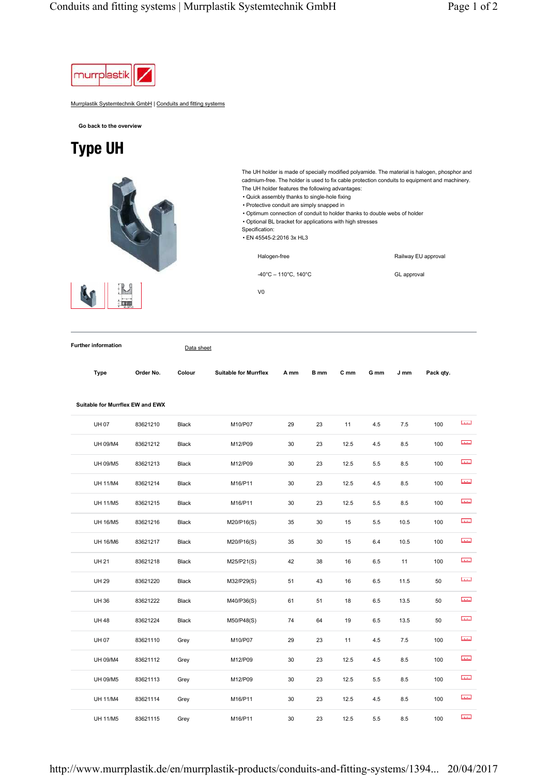

Murrplastik Systemtechnik GmbH | Conduits and fitting systems

**Go back to the overview**

## Type UH



| Data sheet |
|------------|
|            |
|            |

**Suitable for Murrflex EW and EWX** 

| Type | Order No. | Colour | <b>Suitable for Murrflex</b> | A mm | B mm | C mm | G mm | J mm | Pack qty. |
|------|-----------|--------|------------------------------|------|------|------|------|------|-----------|
|      |           |        |                              |      |      |      |      |      |           |

| <b>UH07</b>     | 83621210 | Black | M10/P07    | 29 | 23 | 11   | 4.5 | $7.5\,$ | 100 | <b>Infuline</b> |
|-----------------|----------|-------|------------|----|----|------|-----|---------|-----|-----------------|
| <b>UH 09/M4</b> | 83621212 | Black | M12/P09    | 30 | 23 | 12.5 | 4.5 | 8.5     | 100 | <b>utubu</b>    |
| UH 09/M5        | 83621213 | Black | M12/P09    | 30 | 23 | 12.5 | 5.5 | 8.5     | 100 | <b>utulud</b>   |
| <b>UH 11/M4</b> | 83621214 | Black | M16/P11    | 30 | 23 | 12.5 | 4.5 | 8.5     | 100 | <b>Infuline</b> |
| <b>UH 11/M5</b> | 83621215 | Black | M16/P11    | 30 | 23 | 12.5 | 5.5 | 8.5     | 100 | ulului          |
| <b>UH 16/M5</b> | 83621216 | Black | M20/P16(S) | 35 | 30 | 15   | 5.5 | 10.5    | 100 | <b>Infulne</b>  |
| <b>UH 16/M6</b> | 83621217 | Black | M20/P16(S) | 35 | 30 | 15   | 6.4 | 10.5    | 100 | <b>Informa</b>  |
| <b>UH 21</b>    | 83621218 | Black | M25/P21(S) | 42 | 38 | 16   | 6.5 | 11      | 100 | <b>udulus</b>   |
| <b>UH 29</b>    | 83621220 | Black | M32/P29(S) | 51 | 43 | 16   | 6.5 | 11.5    | 50  | <b>Intuined</b> |
| <b>UH36</b>     | 83621222 | Black | M40/P36(S) | 61 | 51 | 18   | 6.5 | 13.5    | 50  | <b>ututur</b>   |
| <b>UH48</b>     | 83621224 | Black | M50/P48(S) | 74 | 64 | 19   | 6.5 | 13.5    | 50  | <b>ulului</b>   |
| <b>UH07</b>     | 83621110 | Grey  | M10/P07    | 29 | 23 | 11   | 4.5 | 7.5     | 100 | <b>ututur</b>   |
| UH 09/M4        | 83621112 | Grey  | M12/P09    | 30 | 23 | 12.5 | 4.5 | 8.5     | 100 | <b>utubu</b>    |
| UH 09/M5        | 83621113 | Grey  | M12/P09    | 30 | 23 | 12.5 | 5.5 | 8.5     | 100 | atatan.         |
| <b>UH 11/M4</b> | 83621114 | Grey  | M16/P11    | 30 | 23 | 12.5 | 4.5 | 8.5     | 100 | <b>ututur</b>   |
| <b>UH 11/M5</b> | 83621115 | Grey  | M16/P11    | 30 | 23 | 12.5 | 5.5 | 8.5     | 100 | <b>utului</b>   |